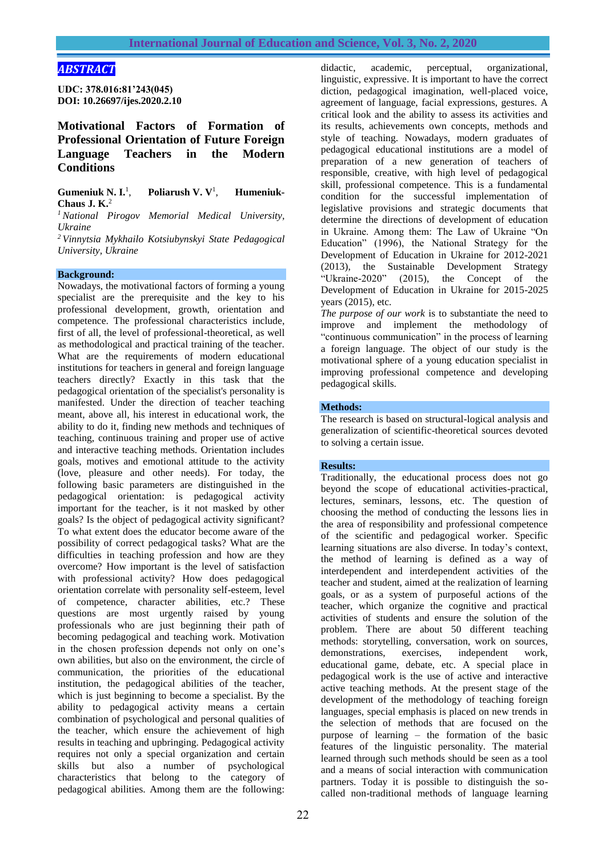# *ABSTRACT*

**UDC: 378.016:81'243(045) DOI: 10.26697/ijes.2020.2.10**

**Motivational Factors of Formation of Professional Orientation of Future Foreign Language Teachers in the Modern Conditions**

**Gumeniuk N. I.**<sup>1</sup> , **Poliarush V. V**<sup>1</sup> , **Humeniuk-Chaus J. K.**<sup>2</sup>

*<sup>1</sup> National Pirogov Memorial Medical University, Ukraine*

*<sup>2</sup> Vinnytsia Mykhailo Kotsiubynskyi State Pedagogical University, Ukraine*

#### **Background:**

Nowadays, the motivational factors of forming a young specialist are the prerequisite and the key to his professional development, growth, orientation and competence. The professional characteristics include, first of all, the level of professional-theoretical, as well as methodological and practical training of the teacher. What are the requirements of modern educational institutions for teachers in general and foreign language teachers directly? Exactly in this task that the pedagogical orientation of the specialist's personality is manifested. Under the direction of teacher teaching meant, above all, his interest in educational work, the ability to do it, finding new methods and techniques of teaching, continuous training and proper use of active and interactive teaching methods. Orientation includes goals, motives and emotional attitude to the activity (love, pleasure and other needs). For today, the following basic parameters are distinguished in the pedagogical orientation: is pedagogical activity important for the teacher, is it not masked by other goals? Is the object of pedagogical activity significant? To what extent does the educator become aware of the possibility of correct pedagogical tasks? What are the difficulties in teaching profession and how are they overcome? How important is the level of satisfaction with professional activity? How does pedagogical orientation correlate with personality self-esteem, level of competence, character abilities, etc.? These questions are most urgently raised by young professionals who are just beginning their path of becoming pedagogical and teaching work. Motivation in the chosen profession depends not only on one's own abilities, but also on the environment, the circle of communication, the priorities of the educational institution, the pedagogical abilities of the teacher, which is just beginning to become a specialist. By the ability to pedagogical activity means a certain combination of psychological and personal qualities of the teacher, which ensure the achievement of high results in teaching and upbringing. Pedagogical activity requires not only a special organization and certain skills but also a number of psychological characteristics that belong to the category of pedagogical abilities. Among them are the following:

didactic, academic, perceptual, organizational, linguistic, expressive. It is important to have the correct diction, pedagogical imagination, well-placed voice, agreement of language, facial expressions, gestures. A critical look and the ability to assess its activities and its results, achievements own concepts, methods and style of teaching. Nowadays, modern graduates of pedagogical educational institutions are a model of preparation of a new generation of teachers of responsible, creative, with high level of pedagogical skill, professional competence. This is a fundamental condition for the successful implementation of legislative provisions and strategic documents that determine the directions of development of education in Ukraine. Among them: The Law of Ukraine "On Education" (1996), the National Strategy for the Development of Education in Ukraine for 2012-2021 (2013), the Sustainable Development Strategy<br>
"Ukraine-2020" (2015), the Concept of the  $(2015)$ , the Concept of the Development of Education in Ukraine for 2015-2025 years (2015), etc.

*The purpose of our work* is to substantiate the need to improve and implement the methodology of "continuous communication" in the process of learning a foreign language. The object of our study is the motivational sphere of a young education specialist in improving professional competence and developing pedagogical skills.

#### **Methods:**

The research is based on structural-logical analysis and generalization of scientific-theoretical sources devoted to solving a certain issue.

## **Results:**

Traditionally, the educational process does not go beyond the scope of educational activities-practical, lectures, seminars, lessons, etc. The question of choosing the method of conducting the lessons lies in the area of responsibility and professional competence of the scientific and pedagogical worker. Specific learning situations are also diverse. In today's context, the method of learning is defined as a way of interdependent and interdependent activities of the teacher and student, aimed at the realization of learning goals, or as a system of purposeful actions of the teacher, which organize the cognitive and practical activities of students and ensure the solution of the problem. There are about 50 different teaching methods: storytelling, conversation, work on sources, demonstrations, exercises, independent work, educational game, debate, etc. A special place in pedagogical work is the use of active and interactive active teaching methods. At the present stage of the development of the methodology of teaching foreign languages, special emphasis is placed on new trends in the selection of methods that are focused on the purpose of learning – the formation of the basic features of the linguistic personality. The material learned through such methods should be seen as a tool and a means of social interaction with communication partners. Today it is possible to distinguish the socalled non-traditional methods of language learning